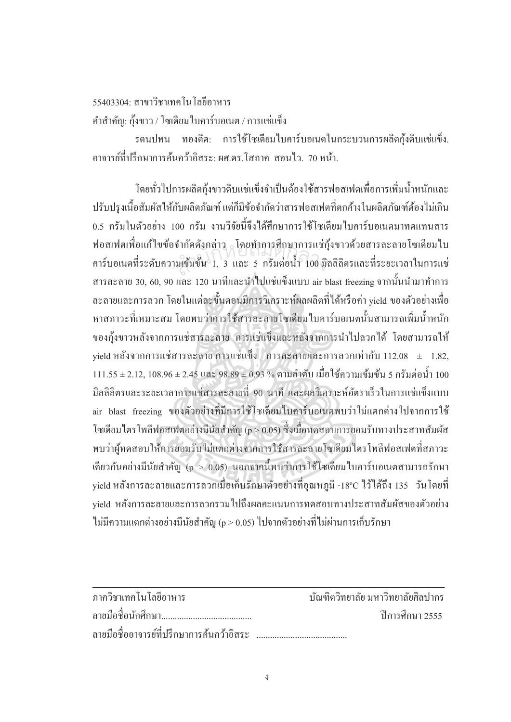$55403304 \cdot \pi$ าขาวิชาเทค โบ โกยีิกาหาร

คำสำคัญ: กุ้งขาว / โซเดียมไบคาร์บอเนต / การแช่แข็ง

ู้ รตนปพน ทองติค: การใช้โซเดียมใบคาร์บอเนตในกระบวนการผลิตกุ้งดิบแช่แข็ง. ิ อาจารย์ที่ปรึกษาการค้นคว้าอิสระ∙ ผศ ดร โสภาค สอนไว 70 หน้า

โดยทั่วไปการผลิตกุ้งขาวดิบแช่แข็งจำเป็นต้องใช้สารฟอสเฟตเพื่อการเพิ่มน้ำหนักและ ปรับปรุงเนื้อสัมผัสให้กับผลิตภัณฑ์ แต่ก็มีข้อจำกัดว่าสารฟอสเฟตที่ตกค้างในผลิตภัณฑ์ต้องไม่เกิน 0.5 กรัมในตัวอย่าง 100 กรัม งานวิจัยนี้จึงได้ศึกษาการใช้โซเดียมไบคาร์บอเนตมาทดแทนสาร ฟอสเฟตเพื่อแก้ไขข้อจำกัดดังกล่าว โดยทำการทึกษาการแช่กุ้งขาวด้วยสารละลายโซเดียมไบ คาร์บอเนตที่ระดับความเข้มข้น 1, 3 และ 5 กรัมต่อน้ำ 100 มิลลิลิตรและที่ระยะเวลาในการแช่ สารละลาย 30, 60, 90 และ 120 นาทีและนำไปแช่แข็งแบบ air blast freezing จากนั้นนำมาทำการ ละลายและการลวก โดยในแต่ละขั้นตอนมีการวิเคราะห์ผลผลิตที่ ได้หรือค่า yield ของตัวอย่างเพื่อ หาสภาวะที่เหมาะสม โดยพบว่าการใช้สารละลายโซเดียมใบคาร์บอเนตนั้นสามารถเพิ่มน้ำหนัก ของกุ้งขาวหลังจากการแช่สารละลาย การแช่แข็งและหลังจากการนำไปลวกได้ โดยสามารถให้  $\mu$ ield หลังจากการแช่สารละลาย การแช่แข็ง การละลายและการลวกเท่ากับ 112.08  $\pm$  1.82,  $111.55 \pm 2.12, \, 108.96 \pm 2.45$  และ  $98.89 \pm 0.93$  % ตามลำดับ เมื่อใช้ความเข้มข้น 5 กรัมต่อน้ำ 100 มิลลิลิตรและระยะเวลาการแช่สารละลายที่ 90 นาที และผลวิเคราะห์อัตราเร็วในการแช่แข็งแบบ air blast freezing ของตัวอย่างที่มีการใช้โซเดียมไบคาร์บอเนตพบว่าไม่แตกต่างไปจากการใช้ โซเดียม ใตร โพลีฟอสเฟตอย่างมีนัยสำคัญ (p > 0.05) ซึ่งเมื่อทดสอบการยอมรับทางประสาทสัมผัส พบว่าผู้ทดสอบให้การยอมรับไม่แตกต่างจากการใช้สารละลายโซเดียมใตรโพลีฟอสเฟตที่สภาวะ เดียวกันอย่างมีนัยสำคัญ (p  $>0.05$ ) นอกจากนี้พบว่าการใช้โซเดียมใบคาร์บอเนตสามารถรักษา yield หลังการละลายและการลวกเมื่อเก็บรักษาตัวอย่างที่อุณหภูมิ -18°C ไว้ใด้ถึง 135 วันโดยที่ vield หลังการละลายและการลวกรวมไปถึงผลคะแนนการทดสอบทางประสาทสัมผัสของตัวอย่าง  $\,$ ไม่มีความแตกต่างอย่างมีนัยสำคัญ (p > 0.05)  $\,$ ไปจากตัวอย่างที่ไม่ผ่านการเก็บรักษา สำนกัหอส<sup>ม</sup> ุดกลา<sup>ง</sup>

| ภาควิชาเทคโนโลยีอาหาร                      | ำโนฑิตวิทยาลัย มหาวิทยาลัยศิลปากร |
|--------------------------------------------|-----------------------------------|
|                                            | ์ ปีการศึกษา 2555                 |
| ิลายมือชื่ออาจารย์ที่ปรึกษาการค้นคว้าอิสระ |                                   |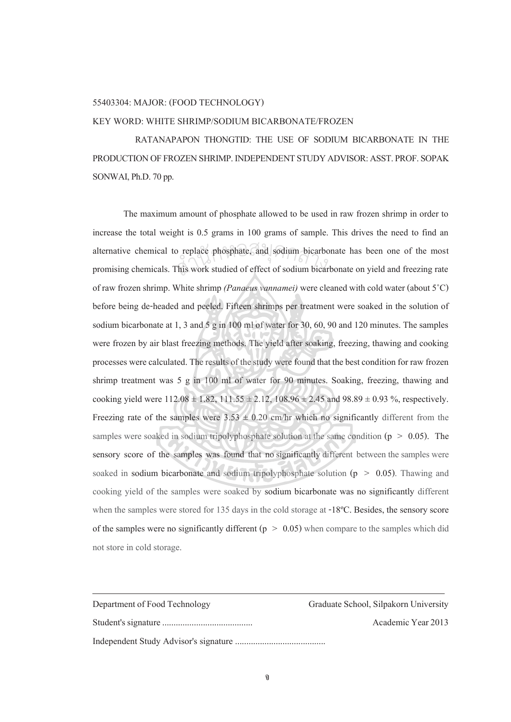## 55403304: MAJOR: (FOOD TECHNOLOGY)

## KEY WORD: WHITE SHRIMP/SODIUM BICARBONATE/FROZEN

 RATANAPAPON THONGTID: THE USE OF SODIUM BICARBONATE IN THE PRODUCTION OF FROZEN SHRIMP. INDEPENDENT STUDY ADVISOR: ASST. PROF. SOPAK SONWAI, Ph.D. 70 pp.

The maximum amount of phosphate allowed to be used in raw frozen shrimp in order to increase the total weight is 0.5 grams in 100 grams of sample. This drives the need to find an alternative chemical to replace phosphate, and sodium bicarbonate has been one of the most promising chemicals. This work studied of effect of sodium bicarbonate on yield and freezing rate promising chemicals. This work studied of effect of sodium bicarbonate on yield and freezing rate of raw frozen shrimp. White shrimp *(Panaeus vannamei)* were cleaned with cold water (about 5<sup>°</sup>C) before being de-headed and peeled. Fifteen shrimps per treatment were soaked in the solution of sodium bicarbonate at 1, 3 and 5 g in 100 ml of water for 30, 60, 90 and 120 minutes. The samples were frozen by air blast freezing methods. The yield after soaking, freezing, thawing and cooking processes were calculated. The results of the study were found that the best condition for raw frozen shrimp treatment was 5 g in 100 ml of water for 90 minutes. Soaking, freezing, thawing and cooking yield were  $112.08 \pm 1.82$ ,  $111.55 \pm 2.12$ ,  $108.96 \pm 2.45$  and  $98.89 \pm 0.93$  %, respectively. Freezing rate of the samples were  $3.53 \pm 0.20$  cm/hr which no significantly different from the samples were soaked in sodium tripolyphosphate solution at the same condition ( $p > 0.05$ ). The sensory score of the samples was found that no significantly different between the samples were soaked in sodium bicarbonate and sodium tripolyphosphate solution ( $p > 0.05$ ). Thawing and cooking yield of the samples were soaked by sodium bicarbonate was no significantly different when the samples were stored for 135 days in the cold storage at -18ºC. Besides, the sensory score of the samples were no significantly different ( $p > 0.05$ ) when compare to the samples which did not store in cold storage.

| Department of Food Technology | Graduate School, Silpakorn University |
|-------------------------------|---------------------------------------|
|                               | Academic Year 2013                    |
|                               |                                       |